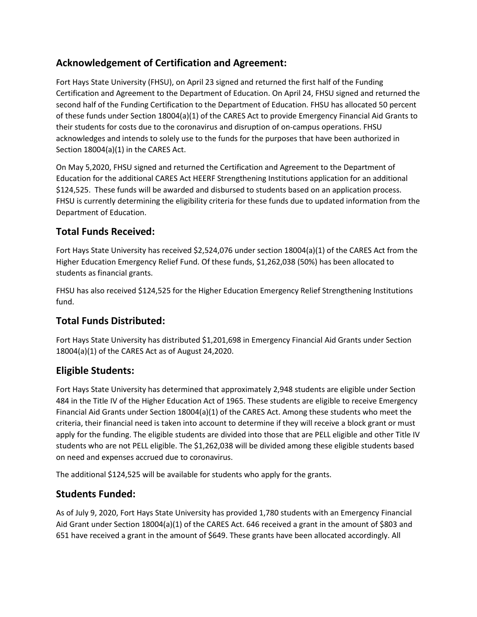# **Acknowledgement of Certification and Agreement:**

Fort Hays State University (FHSU), on April 23 signed and returned the first half of the Funding Certification and Agreement to the Department of Education. On April 24, FHSU signed and returned the second half of the Funding Certification to the Department of Education. FHSU has allocated 50 percent of these funds under Section 18004(a)(1) of the CARES Act to provide Emergency Financial Aid Grants to their students for costs due to the coronavirus and disruption of on-campus operations. FHSU acknowledges and intends to solely use to the funds for the purposes that have been authorized in Section 18004(a)(1) in the CARES Act.

On May 5,2020, FHSU signed and returned the Certification and Agreement to the Department of Education for the additional CARES Act HEERF Strengthening Institutions application for an additional \$124,525. These funds will be awarded and disbursed to students based on an application process. FHSU is currently determining the eligibility criteria for these funds due to updated information from the Department of Education.

# **Total Funds Received:**

Fort Hays State University has received \$2,524,076 under section 18004(a)(1) of the CARES Act from the Higher Education Emergency Relief Fund. Of these funds, \$1,262,038 (50%) has been allocated to students as financial grants.

FHSU has also received \$124,525 for the Higher Education Emergency Relief Strengthening Institutions fund.

# **Total Funds Distributed:**

Fort Hays State University has distributed \$1,201,698 in Emergency Financial Aid Grants under Section 18004(a)(1) of the CARES Act as of August 24,2020.

# **Eligible Students:**

Fort Hays State University has determined that approximately 2,948 students are eligible under Section 484 in the Title IV of the Higher Education Act of 1965. These students are eligible to receive Emergency Financial Aid Grants under Section 18004(a)(1) of the CARES Act. Among these students who meet the criteria, their financial need is taken into account to determine if they will receive a block grant or must apply for the funding. The eligible students are divided into those that are PELL eligible and other Title IV students who are not PELL eligible. The \$1,262,038 will be divided among these eligible students based on need and expenses accrued due to coronavirus.

The additional \$124,525 will be available for students who apply for the grants.

# **Students Funded:**

As of July 9, 2020, Fort Hays State University has provided 1,780 students with an Emergency Financial Aid Grant under Section 18004(a)(1) of the CARES Act. 646 received a grant in the amount of \$803 and 651 have received a grant in the amount of \$649. These grants have been allocated accordingly. All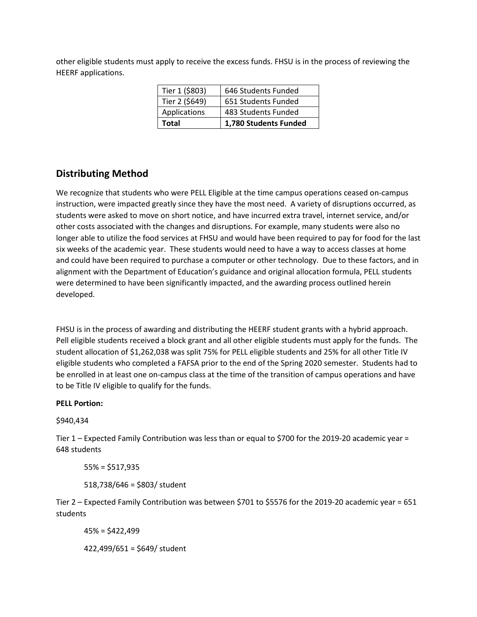other eligible students must apply to receive the excess funds. FHSU is in the process of reviewing the HEERF applications.

| Total          | 1,780 Students Funded |
|----------------|-----------------------|
| Applications   | 483 Students Funded   |
| Tier 2 (\$649) | 651 Students Funded   |
| Tier 1 (\$803) | 646 Students Funded   |

### **Distributing Method**

We recognize that students who were PELL Eligible at the time campus operations ceased on-campus instruction, were impacted greatly since they have the most need. A variety of disruptions occurred, as students were asked to move on short notice, and have incurred extra travel, internet service, and/or other costs associated with the changes and disruptions. For example, many students were also no longer able to utilize the food services at FHSU and would have been required to pay for food for the last six weeks of the academic year. These students would need to have a way to access classes at home and could have been required to purchase a computer or other technology. Due to these factors, and in alignment with the Department of Education's guidance and original allocation formula, PELL students were determined to have been significantly impacted, and the awarding process outlined herein developed.

FHSU is in the process of awarding and distributing the HEERF student grants with a hybrid approach. Pell eligible students received a block grant and all other eligible students must apply for the funds. The student allocation of \$1,262,038 was split 75% for PELL eligible students and 25% for all other Title IV eligible students who completed a FAFSA prior to the end of the Spring 2020 semester. Students had to be enrolled in at least one on-campus class at the time of the transition of campus operations and have to be Title IV eligible to qualify for the funds.

#### **PELL Portion:**

\$940,434

Tier 1 – Expected Family Contribution was less than or equal to \$700 for the 2019-20 academic year = 648 students

 $55% = $517,935$ 

518,738/646 = \$803/ student

Tier 2 – Expected Family Contribution was between \$701 to \$5576 for the 2019-20 academic year = 651 students

 $45% = $422,499$ 

422,499/651 = \$649/ student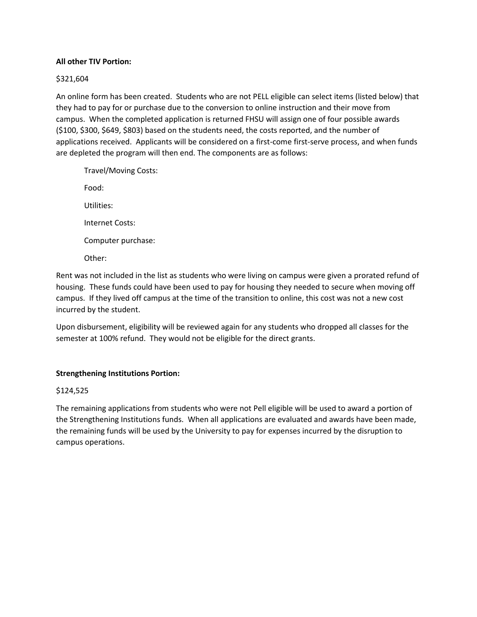#### **All other TIV Portion:**

#### \$321,604

An online form has been created. Students who are not PELL eligible can select items (listed below) that they had to pay for or purchase due to the conversion to online instruction and their move from campus. When the completed application is returned FHSU will assign one of four possible awards (\$100, \$300, \$649, \$803) based on the students need, the costs reported, and the number of applications received. Applicants will be considered on a first-come first-serve process, and when funds are depleted the program will then end. The components are as follows:

Travel/Moving Costs: Food: Utilities: Internet Costs: Computer purchase: Other:

Rent was not included in the list as students who were living on campus were given a prorated refund of housing. These funds could have been used to pay for housing they needed to secure when moving off campus. If they lived off campus at the time of the transition to online, this cost was not a new cost incurred by the student.

Upon disbursement, eligibility will be reviewed again for any students who dropped all classes for the semester at 100% refund. They would not be eligible for the direct grants.

#### **Strengthening Institutions Portion:**

#### \$124,525

The remaining applications from students who were not Pell eligible will be used to award a portion of the Strengthening Institutions funds. When all applications are evaluated and awards have been made, the remaining funds will be used by the University to pay for expenses incurred by the disruption to campus operations.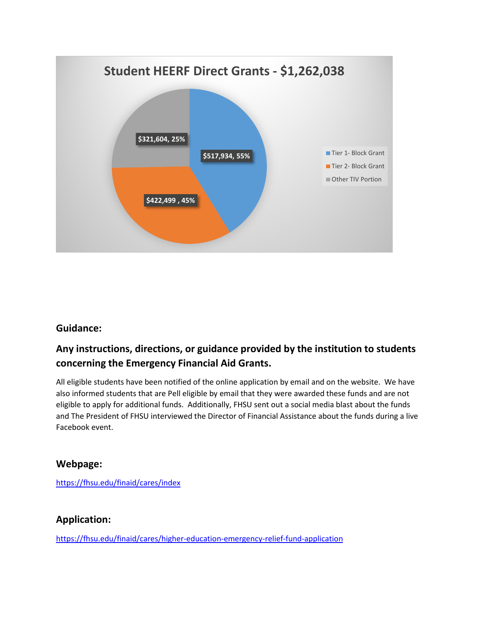

# **Guidance:**

# **Any instructions, directions, or guidance provided by the institution to students concerning the Emergency Financial Aid Grants.**

All eligible students have been notified of the online application by email and on the website. We have also informed students that are Pell eligible by email that they were awarded these funds and are not eligible to apply for additional funds. Additionally, FHSU sent out a social media blast about the funds and The President of FHSU interviewed the Director of Financial Assistance about the funds during a live Facebook event.

## **Webpage:**

<https://fhsu.edu/finaid/cares/index>

# **Application:**

<https://fhsu.edu/finaid/cares/higher-education-emergency-relief-fund-application>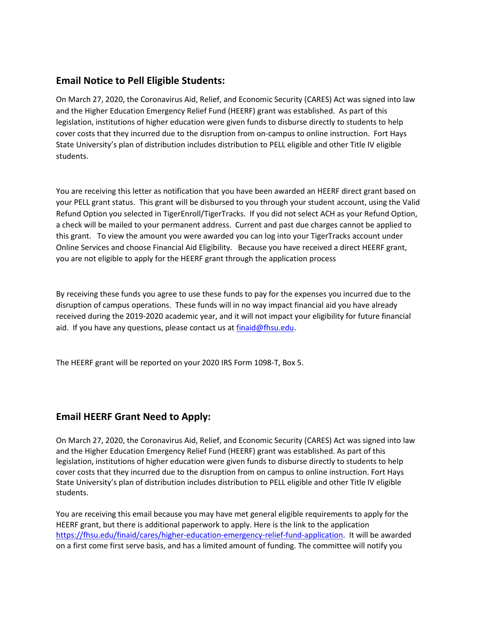## **Email Notice to Pell Eligible Students:**

On March 27, 2020, the Coronavirus Aid, Relief, and Economic Security (CARES) Act was signed into law and the Higher Education Emergency Relief Fund (HEERF) grant was established. As part of this legislation, institutions of higher education were given funds to disburse directly to students to help cover costs that they incurred due to the disruption from on-campus to online instruction. Fort Hays State University's plan of distribution includes distribution to PELL eligible and other Title IV eligible students.

You are receiving this letter as notification that you have been awarded an HEERF direct grant based on your PELL grant status. This grant will be disbursed to you through your student account, using the Valid Refund Option you selected in TigerEnroll/TigerTracks. If you did not select ACH as your Refund Option, a check will be mailed to your permanent address. Current and past due charges cannot be applied to this grant. To view the amount you were awarded you can log into your TigerTracks account under Online Services and choose Financial Aid Eligibility. Because you have received a direct HEERF grant, you are not eligible to apply for the HEERF grant through the application process

By receiving these funds you agree to use these funds to pay for the expenses you incurred due to the disruption of campus operations. These funds will in no way impact financial aid you have already received during the 2019-2020 academic year, and it will not impact your eligibility for future financial aid. If you have any questions, please contact us a[t finaid@fhsu.edu.](mailto:finaid@fhsu.edu)

The HEERF grant will be reported on your 2020 IRS Form 1098-T, Box 5.

# **Email HEERF Grant Need to Apply:**

On March 27, 2020, the Coronavirus Aid, Relief, and Economic Security (CARES) Act was signed into law and the Higher Education Emergency Relief Fund (HEERF) grant was established. As part of this legislation, institutions of higher education were given funds to disburse directly to students to help cover costs that they incurred due to the disruption from on campus to online instruction. Fort Hays State University's plan of distribution includes distribution to PELL eligible and other Title IV eligible students.

You are receiving this email because you may have met general eligible requirements to apply for the HEERF grant, but there is additional paperwork to apply. Here is the link to the application [https://fhsu.edu/finaid/cares/higher-education-emergency-relief-fund-application.](https://fhsu.edu/finaid/cares/higher-education-emergency-relief-fund-application) It will be awarded on a first come first serve basis, and has a limited amount of funding. The committee will notify you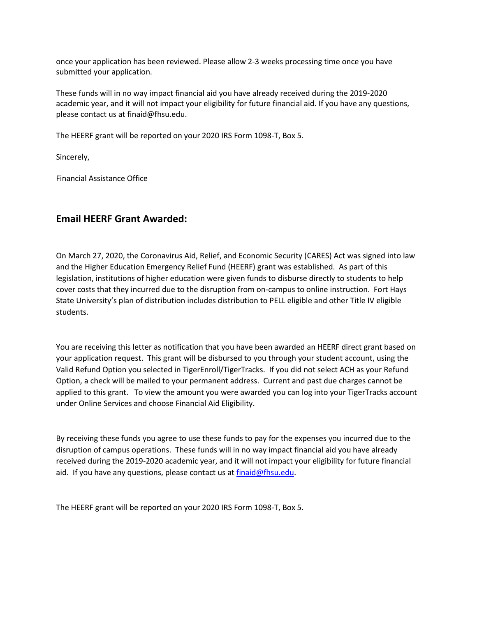once your application has been reviewed. Please allow 2-3 weeks processing time once you have submitted your application.

These funds will in no way impact financial aid you have already received during the 2019-2020 academic year, and it will not impact your eligibility for future financial aid. If you have any questions, please contact us at finaid@fhsu.edu.

The HEERF grant will be reported on your 2020 IRS Form 1098-T, Box 5.

Sincerely,

Financial Assistance Office

## **Email HEERF Grant Awarded:**

On March 27, 2020, the Coronavirus Aid, Relief, and Economic Security (CARES) Act was signed into law and the Higher Education Emergency Relief Fund (HEERF) grant was established. As part of this legislation, institutions of higher education were given funds to disburse directly to students to help cover costs that they incurred due to the disruption from on-campus to online instruction. Fort Hays State University's plan of distribution includes distribution to PELL eligible and other Title IV eligible students.

You are receiving this letter as notification that you have been awarded an HEERF direct grant based on your application request. This grant will be disbursed to you through your student account, using the Valid Refund Option you selected in TigerEnroll/TigerTracks. If you did not select ACH as your Refund Option, a check will be mailed to your permanent address. Current and past due charges cannot be applied to this grant. To view the amount you were awarded you can log into your TigerTracks account under Online Services and choose Financial Aid Eligibility.

By receiving these funds you agree to use these funds to pay for the expenses you incurred due to the disruption of campus operations. These funds will in no way impact financial aid you have already received during the 2019-2020 academic year, and it will not impact your eligibility for future financial aid. If you have any questions, please contact us a[t finaid@fhsu.edu.](mailto:finaid@fhsu.edu)

The HEERF grant will be reported on your 2020 IRS Form 1098-T, Box 5.